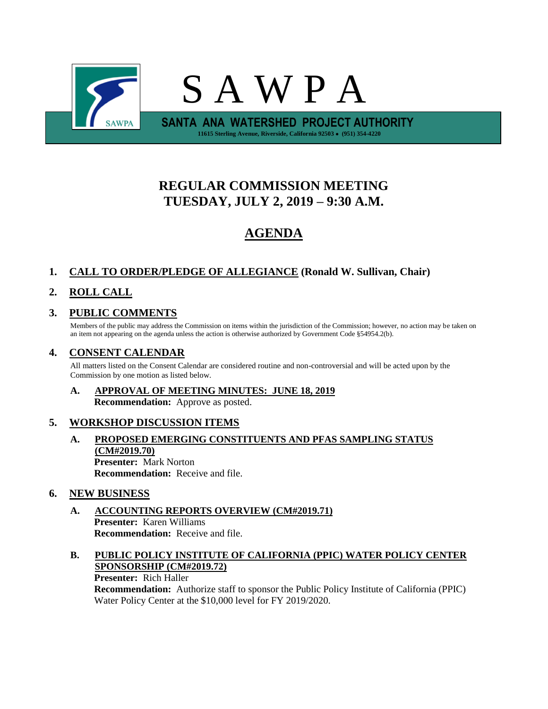

# **REGULAR COMMISSION MEETING TUESDAY, JULY 2, 2019 – 9:30 A.M.**

# **AGENDA**

## **1. CALL TO ORDER/PLEDGE OF ALLEGIANCE (Ronald W. Sullivan, Chair)**

## **2. ROLL CALL**

## **3. PUBLIC COMMENTS**

Members of the public may address the Commission on items within the jurisdiction of the Commission; however, no action may be taken on an item not appearing on the agenda unless the action is otherwise authorized by Government Code §54954.2(b).

### **4. CONSENT CALENDAR**

All matters listed on the Consent Calendar are considered routine and non-controversial and will be acted upon by the Commission by one motion as listed below.

### **A. APPROVAL OF MEETING MINUTES: JUNE 18, 2019 Recommendation:** Approve as posted.

### **5. WORKSHOP DISCUSSION ITEMS**

**A. PROPOSED EMERGING CONSTITUENTS AND PFAS SAMPLING STATUS (CM#2019.70) Presenter:** Mark Norton **Recommendation:** Receive and file.

### **6. NEW BUSINESS**

**A. ACCOUNTING REPORTS OVERVIEW (CM#2019.71) Presenter:** Karen Williams **Recommendation:** Receive and file.

#### **B. PUBLIC POLICY INSTITUTE OF CALIFORNIA (PPIC) WATER POLICY CENTER SPONSORSHIP (CM#2019.72)**

#### **Presenter:** Rich Haller

**Recommendation:** Authorize staff to sponsor the Public Policy Institute of California (PPIC) Water Policy Center at the \$10,000 level for FY 2019/2020.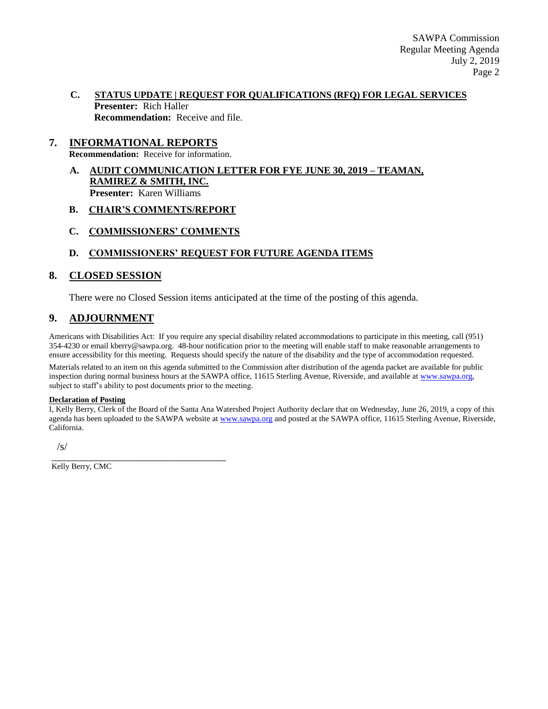#### **C. STATUS UPDATE | REQUEST FOR QUALIFICATIONS (RFQ) FOR LEGAL SERVICES Presenter:** Rich Haller **Recommendation:** Receive and file.

### **7. INFORMATIONAL REPORTS**

**Recommendation:** Receive for information.

**A. AUDIT COMMUNICATION LETTER FOR FYE JUNE 30, 2019 – TEAMAN, RAMIREZ & SMITH, INC. Presenter:** Karen Williams

#### **B. CHAIR'S COMMENTS/REPORT**

**C. COMMISSIONERS' COMMENTS**

#### **D. COMMISSIONERS' REQUEST FOR FUTURE AGENDA ITEMS**

#### **8. CLOSED SESSION**

There were no Closed Session items anticipated at the time of the posting of this agenda.

### **9. ADJOURNMENT**

Americans with Disabilities Act: If you require any special disability related accommodations to participate in this meeting, call (951) 354-4230 or email kberry@sawpa.org. 48-hour notification prior to the meeting will enable staff to make reasonable arrangements to ensure accessibility for this meeting. Requests should specify the nature of the disability and the type of accommodation requested.

Materials related to an item on this agenda submitted to the Commission after distribution of the agenda packet are available for public inspection during normal business hours at the SAWPA office, 11615 Sterling Avenue, Riverside, and available a[t www.sawpa.org,](http://www.sawpa.org/) subject to staff's ability to post documents prior to the meeting.

#### **Declaration of Posting**

I, Kelly Berry, Clerk of the Board of the Santa Ana Watershed Project Authority declare that on Wednesday, June 26, 2019, a copy of this agenda has been uploaded to the SAWPA website at [www.sawpa.org](http://www.sawpa.org/) and posted at the SAWPA office, 11615 Sterling Avenue, Riverside, California.

/s/

Kelly Berry, CMC

\_\_\_\_\_\_\_\_\_\_\_\_\_\_\_\_\_\_\_\_\_\_\_\_\_\_\_\_\_\_\_\_\_\_\_\_\_\_\_